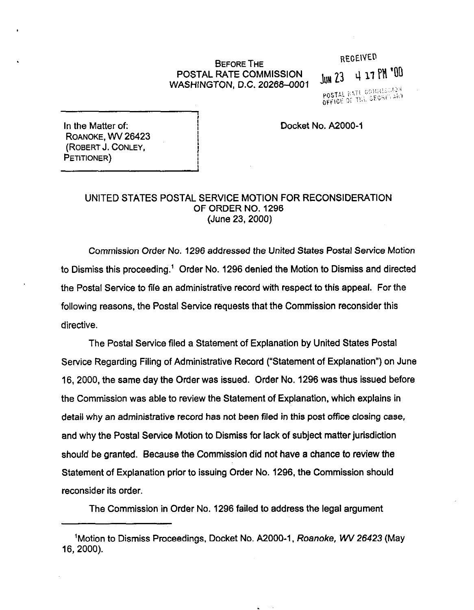## POSTAL RATE COMMlSSlON WASHINGTON, D.C. 20268-0001

## BEFORE THE RECEIVED JUN 23 4 17 PM '00  $\frac{kQ1C}{cD}$  ,  $\frac{1}{2}$  ,  $\frac{1}{2}$  ,  $\frac{1}{2}$  ,  $\frac{1}{2}$  ,  $\frac{1}{2}$  ,  $\frac{1}{2}$  ,  $\frac{1}{2}$  ,  $\frac{1}{2}$  ,  $\frac{1}{2}$ POSTAL INTILL SECRETARY

Docket No. A2000-1

In the Matter of: ROANOKE, WV 26423 (ROBERT J. CONLEY, PETITIONER)

## UNITED STATES POSTAL SERVICE MOTION FOR RECONSIDERATION OF ORDER NO. 1296 (June 23,200O)

Commission Order No. 1296 addressed the United States Postal Service Motion to Dismiss this proceeding.' Order No. 1296 denied the Motion to Dismiss and directed the Postal Service to file an administrative record with respect to this appeal. For the following reasons, the Postal Service requests that the Commission reconsider this directive.

The Postal Service filed a Statement of Explanation by United States Postal Service Regarding Filing of Administrative Record ("Statement of Explanation") on June 16,2000, the same day the Order was issued. Order No. 1296 was thus issued before the Commission was able to review the Statement of Explanation, which explains in detail why an administrative record has not been filed in this post office closing case, and why the Postal Service Motion to Dismiss for lack of subject matter jurisdiction should be granted. Because the Commission did not have a chance to review the Statement of Explanation prior to issuing Order No. 1296, the Commission should reconsider its order.

The Commission in Order No. 1296 failed to address the legal argument

<sup>&#</sup>x27;Motion to Dismiss Proceedings, Docket No. A2000-1, Roanoke, WV 26423 (May 16, 2000).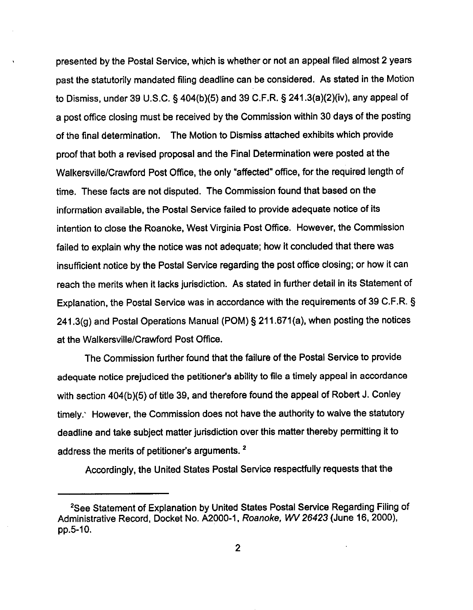presented by the Postal Service, whjch is whether or not an appeal filed almost 2 years past the statutorily mandated filing deadline can be considered. As stated in the Motion to Dismiss, under 39 U.S.C. § 404(b)(5) and 39 C.F.R. 5 241.3(a)(2)(iv), any appeal of a post office closing must be received by the Commission within 30 days of the posting of the final determination, The Motion to Dismiss attached exhibits which provide proof that both a revised proposal and the Final Determination were posted at the Walkersville/Crawford Post Office, the only "affected" office, for the required length of time. These facts are not disputed. The Commission found that based on the information available, the Postal Service failed to provide adequate notice of its intention to close the Roanoke, West Virginia Post Office. However, the Commission failed to explain why the notice was not adequate; how it concluded that there was insufficient notice by the Postal Service regarding the post office closing; or how it can reach the merits when it lacks jurisdiction. As stated in further detail in its Statement of Explanation, the Postal Service was in accordance with the requirements of 39 C.F.R. 5 241.3(g) and Postal Operations Manual (POM) \$211.671(a), when posting the notices at the Walkersville/Crawford Post Office.

The Commission further found that the failure of the Postal Service to provide adequate notice prejudiced the petitioner's ability to file a timely appeal in accordance with section 404(b)(5) of title 39, and therefore found the appeal of Robert J. Conley timely.' However, the Commission does not have the authority to waive the statutory deadline and take subject matter jurisdiction over this matter thereby permitting it to address the merits of petitioner's arguments.<sup>2</sup>

Accordingly, the United States Postal Service respectfully requests that the

<sup>&#</sup>x27;See Statement of Explanation by United States Postal Service Regarding Filing of Administrative Record, Docket No. A2000-1, Roanoke, WV 26423 (June 16, 2000), pp.5-10.